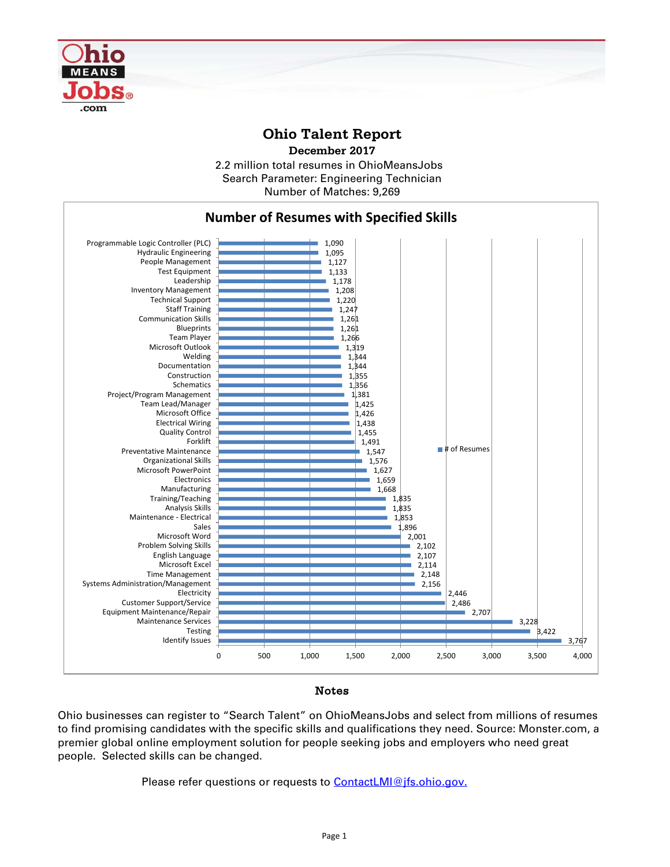

## **Ohio Talent Report**

2.2 million total resumes in OhioMeansJobs Number of Matches: 9,269 **December 2017** Search Parameter: Engineering Technician



## Notes

Ohio businesses can register to "Search Talent" on OhioMeansJobs and select from millions of resumes to find promising candidates with the specific skills and qualifications they need. Source: Monster.com, a premier global online employment solution for people seeking jobs and employers who need great people. Selected skills can be changed.

Please refer questions or requests to [ContactLMI@jfs.ohio.gov.](mailto:ContactLMI@jfs.ohio.gov.)